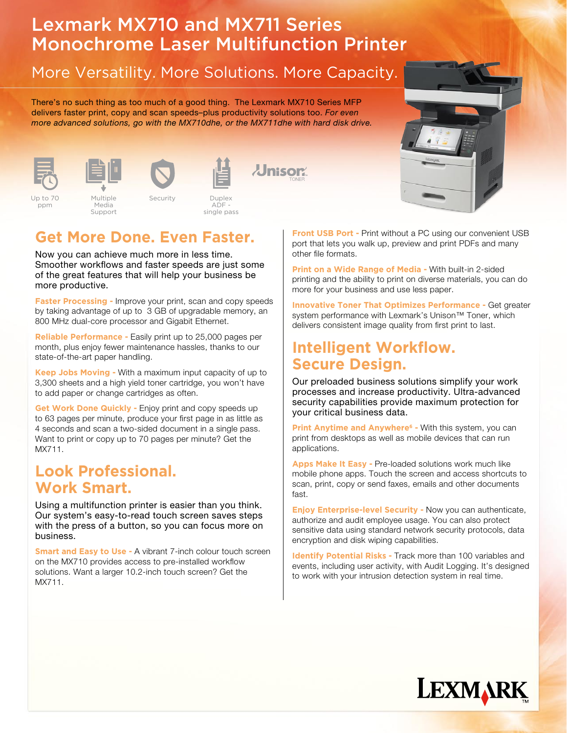# Lexmark MX710 and MX711 Series Monochrome Laser Multifunction Printer

## More Versatility. More Solutions. More Capacity.

There's no such thing as too much of a good thing. The Lexmark MX710 Series MFP delivers faster print, copy and scan speeds–plus productivity solutions too. For even more advanced solutions, go with the MX710dhe, or the MX711dhe with hard disk drive.



Up to 70 ppm





Multiple Media Support



Duplex



*<u>Unisor</u>* 

## **Get More Done. Even Faster.**

Now you can achieve much more in less time. Smoother workflows and faster speeds are just some of the great features that will help your business be more productive.

**Faster Processing -** Improve your print, scan and copy speeds by taking advantage of up to 3 GB of upgradable memory, an 800 MHz dual-core processor and Gigabit Ethernet.

**Reliable Performance -** Easily print up to 25,000 pages per month, plus enjoy fewer maintenance hassles, thanks to our state-of-the-art paper handling.

**Keep Jobs Moving -** With a maximum input capacity of up to 3,300 sheets and a high yield toner cartridge, you won't have to add paper or change cartridges as often.

**Get Work Done Quickly - Enjoy print and copy speeds up** to 63 pages per minute, produce your first page in as little as 4 seconds and scan a two-sided document in a single pass. Want to print or copy up to 70 pages per minute? Get the MX711.

### **Look Professional. Work Smart.**

Using a multifunction printer is easier than you think. Our system's easy-to-read touch screen saves steps with the press of a button, so you can focus more on business.

**Smart and Easy to Use - A vibrant 7-inch colour touch screen** on the MX710 provides access to pre-installed workflow solutions. Want a larger 10.2-inch touch screen? Get the MX711.

**Front USB Port -** Print without a PC using our convenient USB port that lets you walk up, preview and print PDFs and many other file formats.

**Print on a Wide Range of Media -** With built-in 2-sided printing and the ability to print on diverse materials, you can do more for your business and use less paper.

**Innovative Toner That Optimizes Performance -** Get greater system performance with Lexmark's Unison™ Toner, which delivers consistent image quality from first print to last.

#### **Intelligent Workflow. Secure Design.**

Our preloaded business solutions simplify your work processes and increase productivity. Ultra-advanced security capabilities provide maximum protection for your critical business data.

Print Anytime and Anywhere<sup>6</sup> - With this system, you can print from desktops as well as mobile devices that can run applications.

**Apps Make It Easy -** Pre-loaded solutions work much like mobile phone apps. Touch the screen and access shortcuts to scan, print, copy or send faxes, emails and other documents fast.

**Enjoy Enterprise-level Security -** Now you can authenticate, authorize and audit employee usage. You can also protect sensitive data using standard network security protocols, data encryption and disk wiping capabilities.

**Identify Potential Risks - Track more than 100 variables and** events, including user activity, with Audit Logging. It's designed to work with your intrusion detection system in real time.